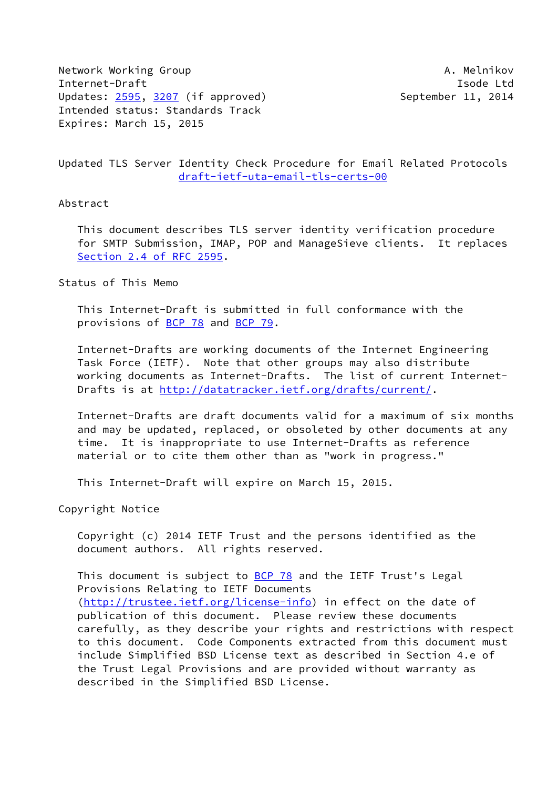Network Working Group **A. Melnikov** A. Melnikov Internet-Draft **Isolat Isom and Isom and Isolat Isolat Isolat Isolat Isolat Isolat Isolat Isolat Isolat Isolat Isolat Isolat Isolat Isolat Isolat Isolat Isolat Isolat Isolat Isolat Isolat Isolat Isolat Isolat Isolat Isolat** Updates: [2595](https://datatracker.ietf.org/doc/pdf/rfc2595), [3207](https://datatracker.ietf.org/doc/pdf/rfc3207) (if approved) September 11, 2014 Intended status: Standards Track Expires: March 15, 2015

Updated TLS Server Identity Check Procedure for Email Related Protocols [draft-ietf-uta-email-tls-certs-00](https://datatracker.ietf.org/doc/pdf/draft-ietf-uta-email-tls-certs-00)

## Abstract

 This document describes TLS server identity verification procedure for SMTP Submission, IMAP, POP and ManageSieve clients. It replaces Section [2.4 of RFC 2595](https://datatracker.ietf.org/doc/pdf/rfc2595#section-2.4).

## Status of This Memo

 This Internet-Draft is submitted in full conformance with the provisions of [BCP 78](https://datatracker.ietf.org/doc/pdf/bcp78) and [BCP 79](https://datatracker.ietf.org/doc/pdf/bcp79).

 Internet-Drafts are working documents of the Internet Engineering Task Force (IETF). Note that other groups may also distribute working documents as Internet-Drafts. The list of current Internet Drafts is at<http://datatracker.ietf.org/drafts/current/>.

 Internet-Drafts are draft documents valid for a maximum of six months and may be updated, replaced, or obsoleted by other documents at any time. It is inappropriate to use Internet-Drafts as reference material or to cite them other than as "work in progress."

This Internet-Draft will expire on March 15, 2015.

Copyright Notice

 Copyright (c) 2014 IETF Trust and the persons identified as the document authors. All rights reserved.

This document is subject to **[BCP 78](https://datatracker.ietf.org/doc/pdf/bcp78)** and the IETF Trust's Legal Provisions Relating to IETF Documents [\(http://trustee.ietf.org/license-info](http://trustee.ietf.org/license-info)) in effect on the date of publication of this document. Please review these documents carefully, as they describe your rights and restrictions with respect to this document. Code Components extracted from this document must include Simplified BSD License text as described in Section 4.e of the Trust Legal Provisions and are provided without warranty as described in the Simplified BSD License.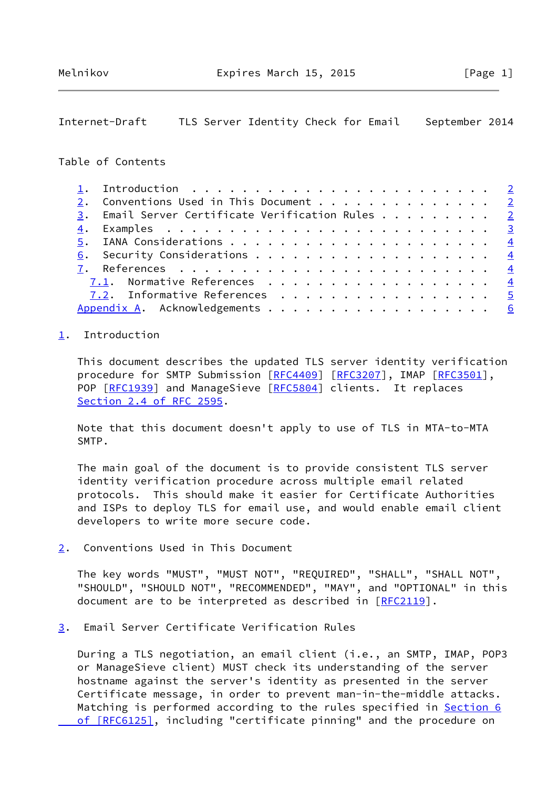## <span id="page-1-1"></span>Internet-Draft TLS Server Identity Check for Email September 2014

## Table of Contents

|  | 1. Introduction $\ldots \ldots \ldots \ldots \ldots \ldots \ldots \ldots \ldots$ |  |
|--|----------------------------------------------------------------------------------|--|
|  | 2. Conventions Used in This Document 2                                           |  |
|  | 3. Email Server Certificate Verification Rules 2                                 |  |
|  |                                                                                  |  |
|  |                                                                                  |  |
|  | 6. Security Considerations 4                                                     |  |
|  |                                                                                  |  |
|  | 7.1. Normative References $\frac{4}{5}$                                          |  |
|  | 7.2. Informative References 5                                                    |  |
|  | Appendix A. Acknowledgements 6                                                   |  |

#### <span id="page-1-0"></span>[1](#page-1-0). Introduction

 This document describes the updated TLS server identity verification procedure for SMTP Submission [[RFC4409](https://datatracker.ietf.org/doc/pdf/rfc4409)] [\[RFC3207](https://datatracker.ietf.org/doc/pdf/rfc3207)], IMAP [\[RFC3501](https://datatracker.ietf.org/doc/pdf/rfc3501)], POP [\[RFC1939](https://datatracker.ietf.org/doc/pdf/rfc1939)] and ManageSieve [[RFC5804](https://datatracker.ietf.org/doc/pdf/rfc5804)] clients. It replaces Section [2.4 of RFC 2595](https://datatracker.ietf.org/doc/pdf/rfc2595#section-2.4).

 Note that this document doesn't apply to use of TLS in MTA-to-MTA SMTP.

 The main goal of the document is to provide consistent TLS server identity verification procedure across multiple email related protocols. This should make it easier for Certificate Authorities and ISPs to deploy TLS for email use, and would enable email client developers to write more secure code.

<span id="page-1-2"></span>[2](#page-1-2). Conventions Used in This Document

 The key words "MUST", "MUST NOT", "REQUIRED", "SHALL", "SHALL NOT", "SHOULD", "SHOULD NOT", "RECOMMENDED", "MAY", and "OPTIONAL" in this document are to be interpreted as described in [\[RFC2119](https://datatracker.ietf.org/doc/pdf/rfc2119)].

<span id="page-1-3"></span>[3](#page-1-3). Email Server Certificate Verification Rules

 During a TLS negotiation, an email client (i.e., an SMTP, IMAP, POP3 or ManageSieve client) MUST check its understanding of the server hostname against the server's identity as presented in the server Certificate message, in order to prevent man-in-the-middle attacks. Matching is performed according to the rules specified in **Section 6** of [RFC6125], including "certificate pinning" and the procedure on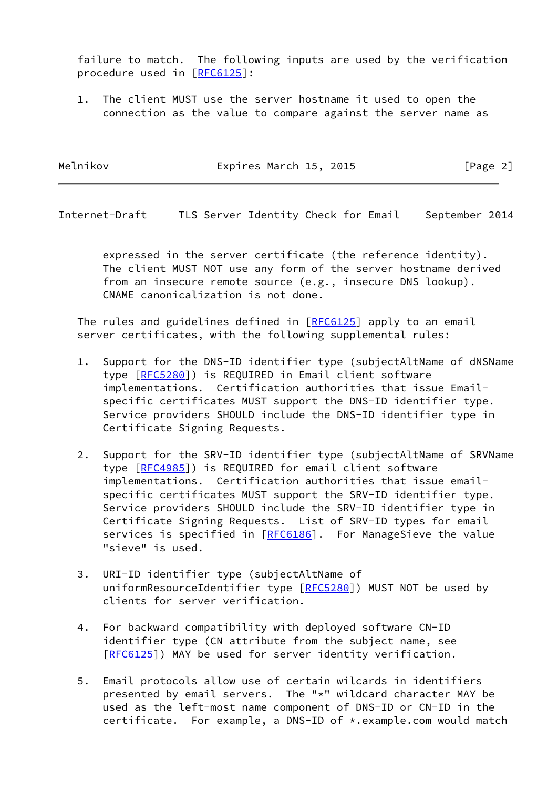failure to match. The following inputs are used by the verification procedure used in [[RFC6125](https://datatracker.ietf.org/doc/pdf/rfc6125)]:

 1. The client MUST use the server hostname it used to open the connection as the value to compare against the server name as

| Melnikov | Expires March 15, 2015 | [Page 2] |
|----------|------------------------|----------|
|----------|------------------------|----------|

<span id="page-2-0"></span>Internet-Draft TLS Server Identity Check for Email September 2014

 expressed in the server certificate (the reference identity). The client MUST NOT use any form of the server hostname derived from an insecure remote source (e.g., insecure DNS lookup). CNAME canonicalization is not done.

The rules and guidelines defined in [\[RFC6125](https://datatracker.ietf.org/doc/pdf/rfc6125)] apply to an email server certificates, with the following supplemental rules:

- 1. Support for the DNS-ID identifier type (subjectAltName of dNSName type [\[RFC5280](https://datatracker.ietf.org/doc/pdf/rfc5280)]) is REQUIRED in Email client software implementations. Certification authorities that issue Email specific certificates MUST support the DNS-ID identifier type. Service providers SHOULD include the DNS-ID identifier type in Certificate Signing Requests.
- 2. Support for the SRV-ID identifier type (subjectAltName of SRVName type [\[RFC4985](https://datatracker.ietf.org/doc/pdf/rfc4985)]) is REQUIRED for email client software implementations. Certification authorities that issue email specific certificates MUST support the SRV-ID identifier type. Service providers SHOULD include the SRV-ID identifier type in Certificate Signing Requests. List of SRV-ID types for email services is specified in [\[RFC6186](https://datatracker.ietf.org/doc/pdf/rfc6186)]. For ManageSieve the value "sieve" is used.
- 3. URI-ID identifier type (subjectAltName of uniformResourceIdentifier type [[RFC5280\]](https://datatracker.ietf.org/doc/pdf/rfc5280)) MUST NOT be used by clients for server verification.
- 4. For backward compatibility with deployed software CN-ID identifier type (CN attribute from the subject name, see [\[RFC6125](https://datatracker.ietf.org/doc/pdf/rfc6125)]) MAY be used for server identity verification.
- 5. Email protocols allow use of certain wilcards in identifiers presented by email servers. The "\*" wildcard character MAY be used as the left-most name component of DNS-ID or CN-ID in the certificate. For example, a DNS-ID of \*.example.com would match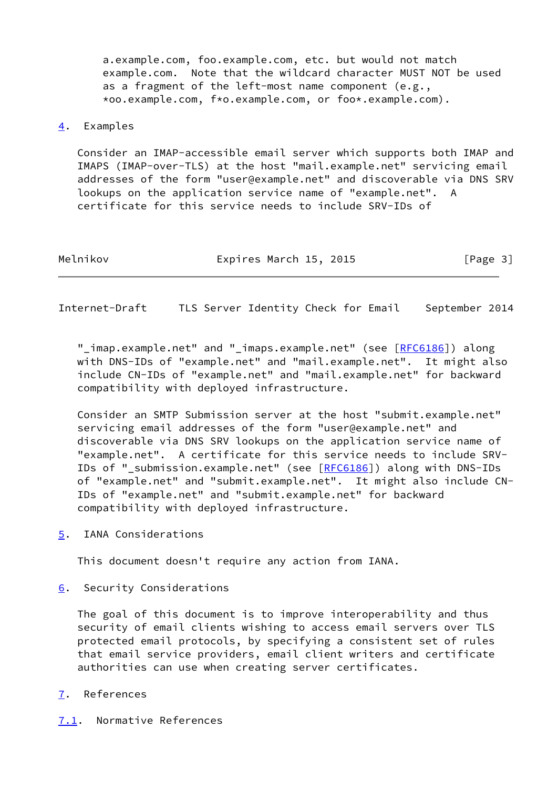a.example.com, foo.example.com, etc. but would not match example.com. Note that the wildcard character MUST NOT be used as a fragment of the left-most name component (e.g., \*oo.example.com, f\*o.example.com, or foo\*.example.com).

## <span id="page-3-0"></span>[4](#page-3-0). Examples

 Consider an IMAP-accessible email server which supports both IMAP and IMAPS (IMAP-over-TLS) at the host "mail.example.net" servicing email addresses of the form "user@example.net" and discoverable via DNS SRV lookups on the application service name of "example.net". A certificate for this service needs to include SRV-IDs of

Melnikov **Expires March 15, 2015** [Page 3]

<span id="page-3-2"></span>Internet-Draft TLS Server Identity Check for Email September 2014

"\_imap.example.net" and "\_imaps.example.net" (see [[RFC6186](https://datatracker.ietf.org/doc/pdf/rfc6186)]) along with DNS-IDs of "example.net" and "mail.example.net". It might also include CN-IDs of "example.net" and "mail.example.net" for backward compatibility with deployed infrastructure.

 Consider an SMTP Submission server at the host "submit.example.net" servicing email addresses of the form "user@example.net" and discoverable via DNS SRV lookups on the application service name of "example.net". A certificate for this service needs to include SRV- IDs of "\_submission.example.net" (see [[RFC6186](https://datatracker.ietf.org/doc/pdf/rfc6186)]) along with DNS-IDs of "example.net" and "submit.example.net". It might also include CN- IDs of "example.net" and "submit.example.net" for backward compatibility with deployed infrastructure.

<span id="page-3-1"></span>[5](#page-3-1). IANA Considerations

This document doesn't require any action from IANA.

<span id="page-3-3"></span>[6](#page-3-3). Security Considerations

 The goal of this document is to improve interoperability and thus security of email clients wishing to access email servers over TLS protected email protocols, by specifying a consistent set of rules that email service providers, email client writers and certificate authorities can use when creating server certificates.

## <span id="page-3-4"></span>[7](#page-3-4). References

<span id="page-3-5"></span>[7.1](#page-3-5). Normative References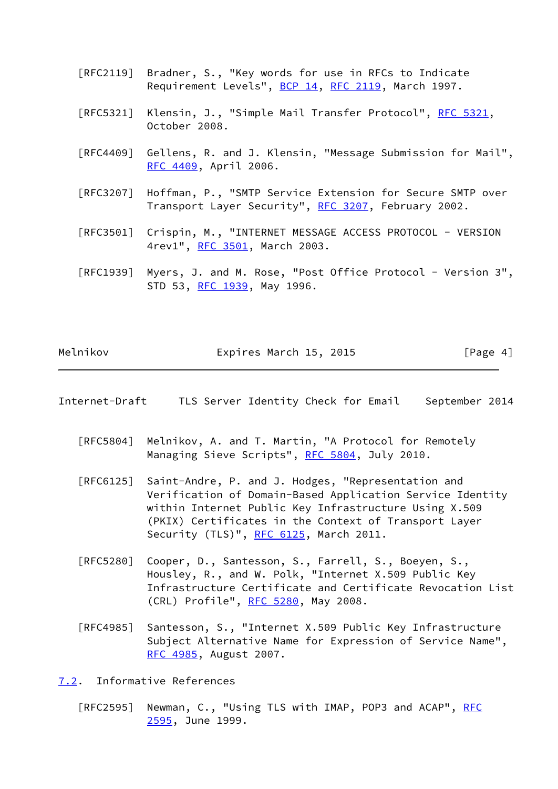- [RFC2119] Bradner, S., "Key words for use in RFCs to Indicate Requirement Levels", [BCP 14](https://datatracker.ietf.org/doc/pdf/bcp14), [RFC 2119](https://datatracker.ietf.org/doc/pdf/rfc2119), March 1997.
- [RFC5321] Klensin, J., "Simple Mail Transfer Protocol", [RFC 5321](https://datatracker.ietf.org/doc/pdf/rfc5321), October 2008.
- [RFC4409] Gellens, R. and J. Klensin, "Message Submission for Mail", [RFC 4409,](https://datatracker.ietf.org/doc/pdf/rfc4409) April 2006.
- [RFC3207] Hoffman, P., "SMTP Service Extension for Secure SMTP over Transport Layer Security", [RFC 3207](https://datatracker.ietf.org/doc/pdf/rfc3207), February 2002.
- [RFC3501] Crispin, M., "INTERNET MESSAGE ACCESS PROTOCOL VERSION 4rev1", [RFC 3501,](https://datatracker.ietf.org/doc/pdf/rfc3501) March 2003.
- [RFC1939] Myers, J. and M. Rose, "Post Office Protocol Version 3", STD 53, [RFC 1939,](https://datatracker.ietf.org/doc/pdf/rfc1939) May 1996.

| Melnikov | Expires March 15, 2015 | [Page 4] |
|----------|------------------------|----------|
|          |                        |          |

- <span id="page-4-1"></span>Internet-Draft TLS Server Identity Check for Email September 2014
	- [RFC5804] Melnikov, A. and T. Martin, "A Protocol for Remotely Managing Sieve Scripts", [RFC 5804,](https://datatracker.ietf.org/doc/pdf/rfc5804) July 2010.
	- [RFC6125] Saint-Andre, P. and J. Hodges, "Representation and Verification of Domain-Based Application Service Identity within Internet Public Key Infrastructure Using X.509 (PKIX) Certificates in the Context of Transport Layer Security (TLS)", [RFC 6125,](https://datatracker.ietf.org/doc/pdf/rfc6125) March 2011.
	- [RFC5280] Cooper, D., Santesson, S., Farrell, S., Boeyen, S., Housley, R., and W. Polk, "Internet X.509 Public Key Infrastructure Certificate and Certificate Revocation List (CRL) Profile", [RFC 5280,](https://datatracker.ietf.org/doc/pdf/rfc5280) May 2008.
	- [RFC4985] Santesson, S., "Internet X.509 Public Key Infrastructure Subject Alternative Name for Expression of Service Name", [RFC 4985,](https://datatracker.ietf.org/doc/pdf/rfc4985) August 2007.

<span id="page-4-0"></span>[7.2](#page-4-0). Informative References

[RFC2595] Newman, C., "Using TLS with IMAP, POP3 and ACAP", [RFC](https://datatracker.ietf.org/doc/pdf/rfc2595) [2595,](https://datatracker.ietf.org/doc/pdf/rfc2595) June 1999.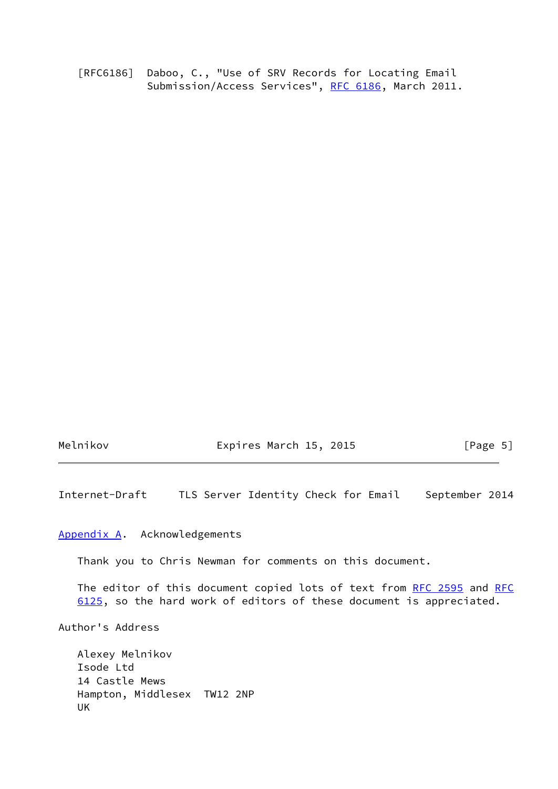[RFC6186] Daboo, C., "Use of SRV Records for Locating Email Submission/Access Services", [RFC 6186](https://datatracker.ietf.org/doc/pdf/rfc6186), March 2011.

Melnikov **Expires March 15, 2015** [Page 5]

<span id="page-5-1"></span>Internet-Draft TLS Server Identity Check for Email September 2014

#### <span id="page-5-0"></span>[Appendix A.](#page-5-0) Acknowledgements

Thank you to Chris Newman for comments on this document.

The editor of this document copied lots of text from [RFC 2595](https://datatracker.ietf.org/doc/pdf/rfc2595) and [RFC](https://datatracker.ietf.org/doc/pdf/rfc6125) [6125](https://datatracker.ietf.org/doc/pdf/rfc6125), so the hard work of editors of these document is appreciated.

Author's Address

 Alexey Melnikov Isode Ltd 14 Castle Mews Hampton, Middlesex TW12 2NP UK